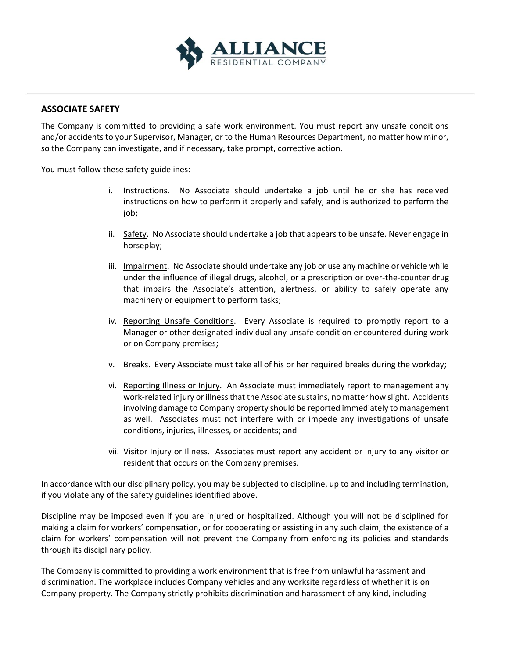

## **ASSOCIATE SAFETY**

The Company is committed to providing a safe work environment. You must report any unsafe conditions and/or accidents to your Supervisor, Manager, or to the Human Resources Department, no matter how minor, so the Company can investigate, and if necessary, take prompt, corrective action.

You must follow these safety guidelines:

- i. Instructions. No Associate should undertake a job until he or she has received instructions on how to perform it properly and safely, and is authorized to perform the job;
- ii. Safety. No Associate should undertake a job that appears to be unsafe. Never engage in horseplay;
- iii. Impairment. No Associate should undertake any job or use any machine or vehicle while under the influence of illegal drugs, alcohol, or a prescription or over-the-counter drug that impairs the Associate's attention, alertness, or ability to safely operate any machinery or equipment to perform tasks;
- iv. Reporting Unsafe Conditions. Every Associate is required to promptly report to a Manager or other designated individual any unsafe condition encountered during work or on Company premises;
- v. Breaks. Every Associate must take all of his or her required breaks during the workday;
- vi. Reporting Illness or Injury. An Associate must immediately report to management any work-related injury or illness that the Associate sustains, no matter how slight. Accidents involving damage to Company property should be reported immediately to management as well. Associates must not interfere with or impede any investigations of unsafe conditions, injuries, illnesses, or accidents; and
- vii. Visitor Injury or Illness. Associates must report any accident or injury to any visitor or resident that occurs on the Company premises.

In accordance with our disciplinary policy, you may be subjected to discipline, up to and including termination, if you violate any of the safety guidelines identified above.

Discipline may be imposed even if you are injured or hospitalized. Although you will not be disciplined for making a claim for workers' compensation, or for cooperating or assisting in any such claim, the existence of a claim for workers' compensation will not prevent the Company from enforcing its policies and standards through its disciplinary policy.

The Company is committed to providing a work environment that is free from unlawful harassment and discrimination. The workplace includes Company vehicles and any worksite regardless of whether it is on Company property. The Company strictly prohibits discrimination and harassment of any kind, including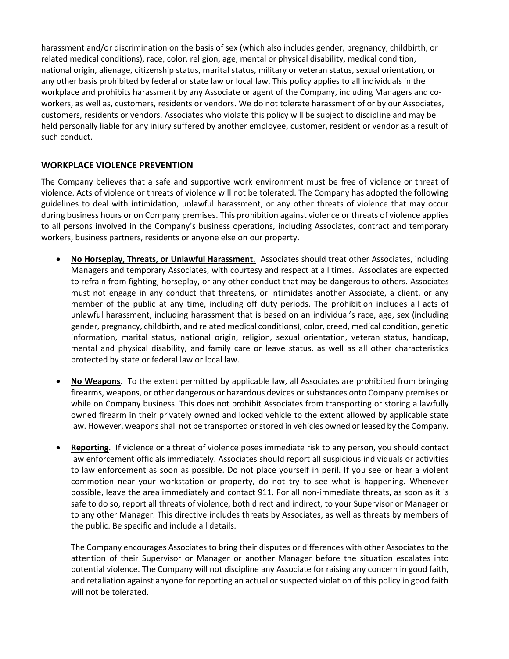harassment and/or discrimination on the basis of sex (which also includes gender, pregnancy, childbirth, or related medical conditions), race, color, religion, age, mental or physical disability, medical condition, national origin, alienage, citizenship status, marital status, military or veteran status, sexual orientation, or any other basis prohibited by federal or state law or local law. This policy applies to all individuals in the workplace and prohibits harassment by any Associate or agent of the Company, including Managers and coworkers, as well as, customers, residents or vendors. We do not tolerate harassment of or by our Associates, customers, residents or vendors. Associates who violate this policy will be subject to discipline and may be held personally liable for any injury suffered by another employee, customer, resident or vendor as a result of such conduct.

## **WORKPLACE VIOLENCE PREVENTION**

The Company believes that a safe and supportive work environment must be free of violence or threat of violence. Acts of violence or threats of violence will not be tolerated. The Company has adopted the following guidelines to deal with intimidation, unlawful harassment, or any other threats of violence that may occur during business hours or on Company premises. This prohibition against violence or threats of violence applies to all persons involved in the Company's business operations, including Associates, contract and temporary workers, business partners, residents or anyone else on our property.

- **No Horseplay, Threats, or Unlawful Harassment.** Associates should treat other Associates, including Managers and temporary Associates, with courtesy and respect at all times. Associates are expected to refrain from fighting, horseplay, or any other conduct that may be dangerous to others. Associates must not engage in any conduct that threatens, or intimidates another Associate, a client, or any member of the public at any time, including off duty periods. The prohibition includes all acts of unlawful harassment, including harassment that is based on an individual's race, age, sex (including gender, pregnancy, childbirth, and related medical conditions), color, creed, medical condition, genetic information, marital status, national origin, religion, sexual orientation, veteran status, handicap, mental and physical disability, and family care or leave status, as well as all other characteristics protected by state or federal law or local law.
- **No Weapons**. To the extent permitted by applicable law, all Associates are prohibited from bringing firearms, weapons, or other dangerous or hazardous devices or substances onto Company premises or while on Company business. This does not prohibit Associates from transporting or storing a lawfully owned firearm in their privately owned and locked vehicle to the extent allowed by applicable state law. However, weapons shall not be transported or stored in vehicles owned or leased by the Company.
- **Reporting**. If violence or a threat of violence poses immediate risk to any person, you should contact law enforcement officials immediately. Associates should report all suspicious individuals or activities to law enforcement as soon as possible. Do not place yourself in peril. If you see or hear a violent commotion near your workstation or property, do not try to see what is happening. Whenever possible, leave the area immediately and contact 911. For all non-immediate threats, as soon as it is safe to do so, report all threats of violence, both direct and indirect, to your Supervisor or Manager or to any other Manager. This directive includes threats by Associates, as well as threats by members of the public. Be specific and include all details.

The Company encourages Associates to bring their disputes or differences with other Associates to the attention of their Supervisor or Manager or another Manager before the situation escalates into potential violence. The Company will not discipline any Associate for raising any concern in good faith, and retaliation against anyone for reporting an actual or suspected violation of this policy in good faith will not be tolerated.